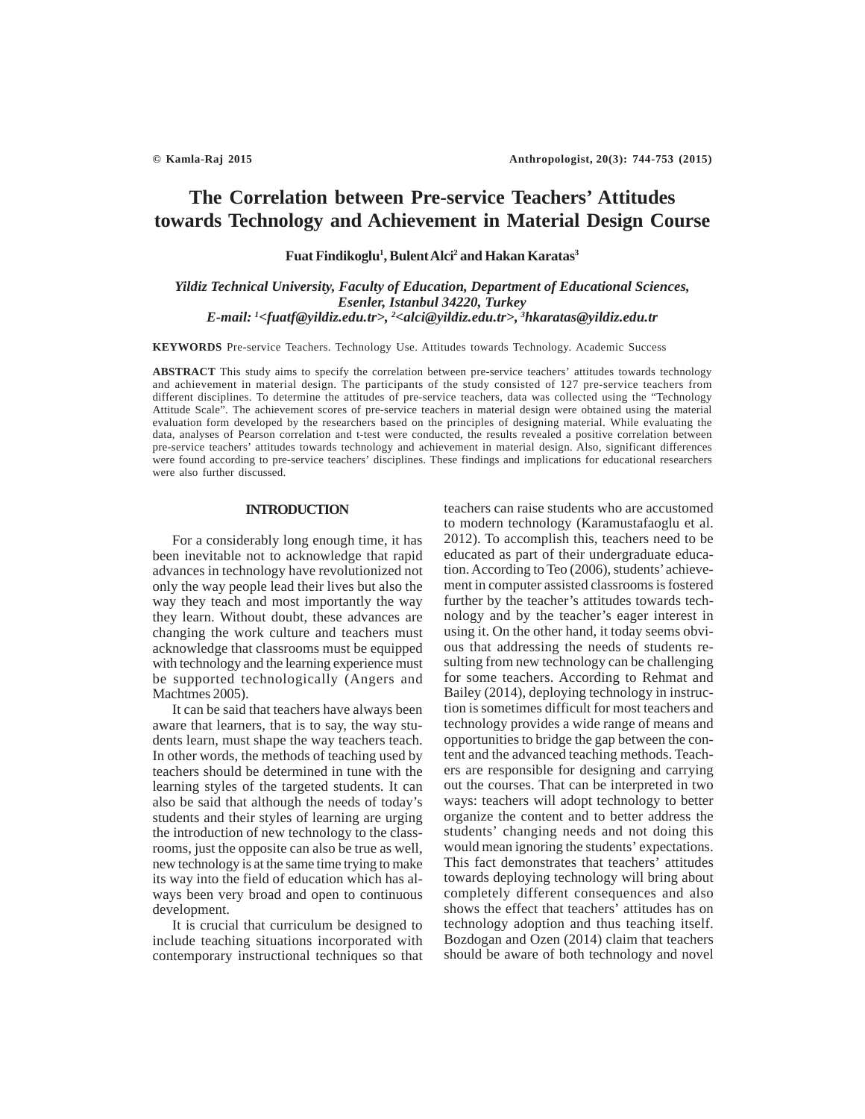# **The Correlation between Pre-service Teachers' Attitudes towards Technology and Achievement in Material Design Course**

**Fuat Findikoglu1 , Bulent Alci2 and Hakan Karatas3**

*Yildiz Technical University, Faculty of Education, Department of Educational Sciences, Esenler, Istanbul 34220, Turkey E-mail: 1 <fuatf@yildiz.edu.tr>, 2 <alci@yildiz.edu.tr>, 3 hkaratas@yildiz.edu.tr*

**KEYWORDS** Pre-service Teachers. Technology Use. Attitudes towards Technology. Academic Success

**ABSTRACT** This study aims to specify the correlation between pre-service teachers' attitudes towards technology and achievement in material design. The participants of the study consisted of 127 pre-service teachers from different disciplines. To determine the attitudes of pre-service teachers, data was collected using the "Technology Attitude Scale". The achievement scores of pre-service teachers in material design were obtained using the material evaluation form developed by the researchers based on the principles of designing material. While evaluating the data, analyses of Pearson correlation and t-test were conducted, the results revealed a positive correlation between pre-service teachers' attitudes towards technology and achievement in material design. Also, significant differences were found according to pre-service teachers' disciplines. These findings and implications for educational researchers were also further discussed.

# **INTRODUCTION**

For a considerably long enough time, it has been inevitable not to acknowledge that rapid advances in technology have revolutionized not only the way people lead their lives but also the way they teach and most importantly the way they learn. Without doubt, these advances are changing the work culture and teachers must acknowledge that classrooms must be equipped with technology and the learning experience must be supported technologically (Angers and Machtmes 2005).

It can be said that teachers have always been aware that learners, that is to say, the way students learn, must shape the way teachers teach. In other words, the methods of teaching used by teachers should be determined in tune with the learning styles of the targeted students. It can also be said that although the needs of today's students and their styles of learning are urging the introduction of new technology to the classrooms, just the opposite can also be true as well, new technology is at the same time trying to make its way into the field of education which has always been very broad and open to continuous development.

It is crucial that curriculum be designed to include teaching situations incorporated with contemporary instructional techniques so that teachers can raise students who are accustomed to modern technology (Karamustafaoglu et al. 2012). To accomplish this, teachers need to be educated as part of their undergraduate education. According to Teo (2006), students' achievement in computer assisted classrooms is fostered further by the teacher's attitudes towards technology and by the teacher's eager interest in using it. On the other hand, it today seems obvious that addressing the needs of students resulting from new technology can be challenging for some teachers. According to Rehmat and Bailey (2014), deploying technology in instruction is sometimes difficult for most teachers and technology provides a wide range of means and opportunities to bridge the gap between the content and the advanced teaching methods. Teachers are responsible for designing and carrying out the courses. That can be interpreted in two ways: teachers will adopt technology to better organize the content and to better address the students' changing needs and not doing this would mean ignoring the students' expectations. This fact demonstrates that teachers' attitudes towards deploying technology will bring about completely different consequences and also shows the effect that teachers' attitudes has on technology adoption and thus teaching itself. Bozdogan and Ozen (2014) claim that teachers should be aware of both technology and novel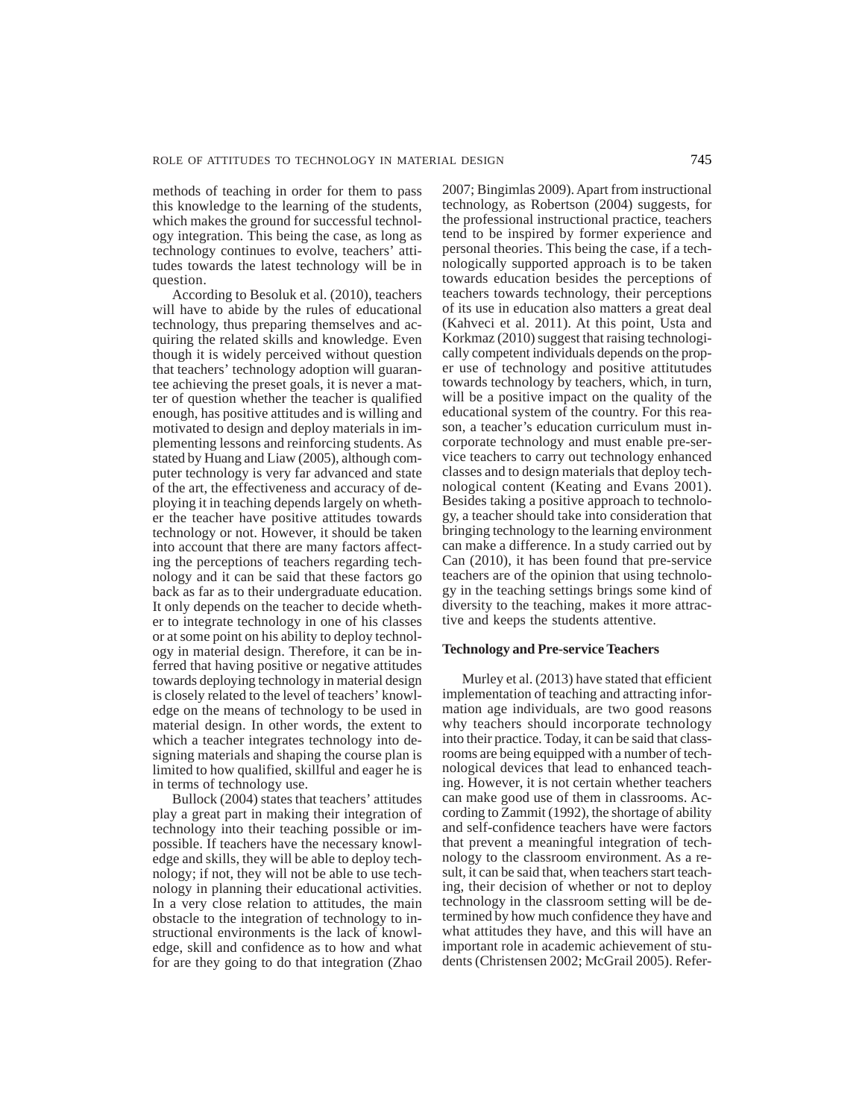methods of teaching in order for them to pass this knowledge to the learning of the students, which makes the ground for successful technology integration. This being the case, as long as technology continues to evolve, teachers' attitudes towards the latest technology will be in question.

According to Besoluk et al. (2010), teachers will have to abide by the rules of educational technology, thus preparing themselves and acquiring the related skills and knowledge. Even though it is widely perceived without question that teachers' technology adoption will guarantee achieving the preset goals, it is never a matter of question whether the teacher is qualified enough, has positive attitudes and is willing and motivated to design and deploy materials in implementing lessons and reinforcing students. As stated by Huang and Liaw (2005), although computer technology is very far advanced and state of the art, the effectiveness and accuracy of deploying it in teaching depends largely on whether the teacher have positive attitudes towards technology or not. However, it should be taken into account that there are many factors affecting the perceptions of teachers regarding technology and it can be said that these factors go back as far as to their undergraduate education. It only depends on the teacher to decide whether to integrate technology in one of his classes or at some point on his ability to deploy technology in material design. Therefore, it can be inferred that having positive or negative attitudes towards deploying technology in material design is closely related to the level of teachers' knowledge on the means of technology to be used in material design. In other words, the extent to which a teacher integrates technology into designing materials and shaping the course plan is limited to how qualified, skillful and eager he is in terms of technology use.

Bullock (2004) states that teachers' attitudes play a great part in making their integration of technology into their teaching possible or impossible. If teachers have the necessary knowledge and skills, they will be able to deploy technology; if not, they will not be able to use technology in planning their educational activities. In a very close relation to attitudes, the main obstacle to the integration of technology to instructional environments is the lack of knowledge, skill and confidence as to how and what for are they going to do that integration (Zhao

2007; Bingimlas 2009). Apart from instructional technology, as Robertson (2004) suggests, for the professional instructional practice, teachers tend to be inspired by former experience and personal theories. This being the case, if a technologically supported approach is to be taken towards education besides the perceptions of teachers towards technology, their perceptions of its use in education also matters a great deal (Kahveci et al. 2011). At this point, Usta and Korkmaz (2010) suggest that raising technologically competent individuals depends on the proper use of technology and positive attitutudes towards technology by teachers, which, in turn, will be a positive impact on the quality of the educational system of the country. For this reason, a teacher's education curriculum must incorporate technology and must enable pre-service teachers to carry out technology enhanced classes and to design materials that deploy technological content (Keating and Evans 2001). Besides taking a positive approach to technology, a teacher should take into consideration that bringing technology to the learning environment can make a difference. In a study carried out by Can (2010), it has been found that pre-service teachers are of the opinion that using technology in the teaching settings brings some kind of diversity to the teaching, makes it more attractive and keeps the students attentive.

### **Technology and Pre-service Teachers**

Murley et al. (2013) have stated that efficient implementation of teaching and attracting information age individuals, are two good reasons why teachers should incorporate technology into their practice. Today, it can be said that classrooms are being equipped with a number of technological devices that lead to enhanced teaching. However, it is not certain whether teachers can make good use of them in classrooms. According to Zammit (1992), the shortage of ability and self-confidence teachers have were factors that prevent a meaningful integration of technology to the classroom environment. As a result, it can be said that, when teachers start teaching, their decision of whether or not to deploy technology in the classroom setting will be determined by how much confidence they have and what attitudes they have, and this will have an important role in academic achievement of students (Christensen 2002; McGrail 2005). Refer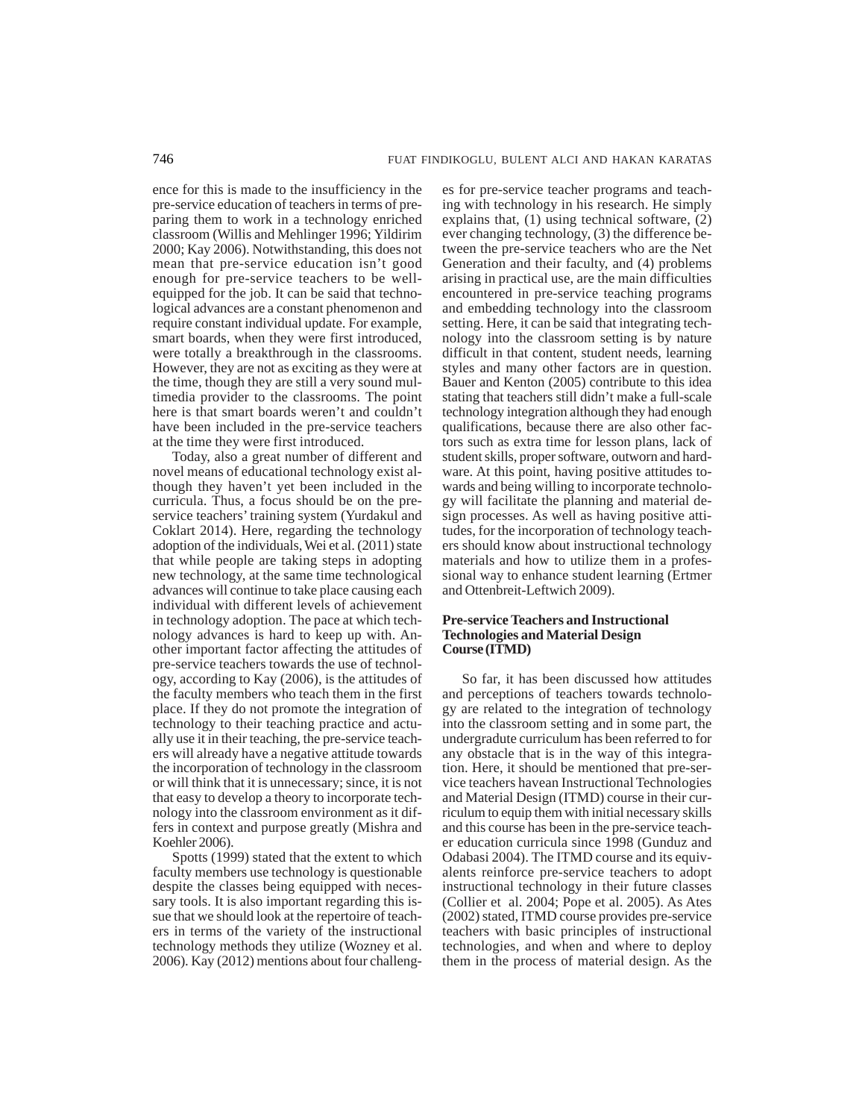ence for this is made to the insufficiency in the pre-service education of teachers in terms of preparing them to work in a technology enriched classroom (Willis and Mehlinger 1996; Yildirim 2000; Kay 2006). Notwithstanding, this does not mean that pre-service education isn't good enough for pre-service teachers to be wellequipped for the job. It can be said that technological advances are a constant phenomenon and require constant individual update. For example, smart boards, when they were first introduced, were totally a breakthrough in the classrooms. However, they are not as exciting as they were at the time, though they are still a very sound multimedia provider to the classrooms. The point here is that smart boards weren't and couldn't have been included in the pre-service teachers at the time they were first introduced.

Today, also a great number of different and novel means of educational technology exist although they haven't yet been included in the curricula. Thus, a focus should be on the preservice teachers' training system (Yurdakul and Coklart 2014). Here, regarding the technology adoption of the individuals, Wei et al. (2011) state that while people are taking steps in adopting new technology, at the same time technological advances will continue to take place causing each individual with different levels of achievement in technology adoption. The pace at which technology advances is hard to keep up with. Another important factor affecting the attitudes of pre-service teachers towards the use of technology, according to Kay (2006), is the attitudes of the faculty members who teach them in the first place. If they do not promote the integration of technology to their teaching practice and actually use it in their teaching, the pre-service teachers will already have a negative attitude towards the incorporation of technology in the classroom or will think that it is unnecessary; since, it is not that easy to develop a theory to incorporate technology into the classroom environment as it differs in context and purpose greatly (Mishra and Koehler 2006).

Spotts (1999) stated that the extent to which faculty members use technology is questionable despite the classes being equipped with necessary tools. It is also important regarding this issue that we should look at the repertoire of teachers in terms of the variety of the instructional technology methods they utilize (Wozney et al. 2006). Kay (2012) mentions about four challenges for pre-service teacher programs and teaching with technology in his research. He simply explains that,  $(1)$  using technical software,  $(2)$ ever changing technology, (3) the difference between the pre-service teachers who are the Net Generation and their faculty, and (4) problems arising in practical use, are the main difficulties encountered in pre-service teaching programs and embedding technology into the classroom setting. Here, it can be said that integrating technology into the classroom setting is by nature difficult in that content, student needs, learning styles and many other factors are in question. Bauer and Kenton (2005) contribute to this idea stating that teachers still didn't make a full-scale technology integration although they had enough qualifications, because there are also other factors such as extra time for lesson plans, lack of student skills, proper software, outworn and hardware. At this point, having positive attitudes towards and being willing to incorporate technology will facilitate the planning and material design processes. As well as having positive attitudes, for the incorporation of technology teachers should know about instructional technology materials and how to utilize them in a professional way to enhance student learning (Ertmer and Ottenbreit-Leftwich 2009).

# **Pre-service Teachers and Instructional Technologies and Material Design Course (ITMD)**

So far, it has been discussed how attitudes and perceptions of teachers towards technology are related to the integration of technology into the classroom setting and in some part, the undergradute curriculum has been referred to for any obstacle that is in the way of this integration. Here, it should be mentioned that pre-service teachers havean Instructional Technologies and Material Design (ITMD) course in their curriculum to equip them with initial necessary skills and this course has been in the pre-service teacher education curricula since 1998 (Gunduz and Odabasi 2004). The ITMD course and its equivalents reinforce pre-service teachers to adopt instructional technology in their future classes (Collier et al. 2004; Pope et al. 2005). As Ates (2002) stated, ITMD course provides pre-service teachers with basic principles of instructional technologies, and when and where to deploy them in the process of material design. As the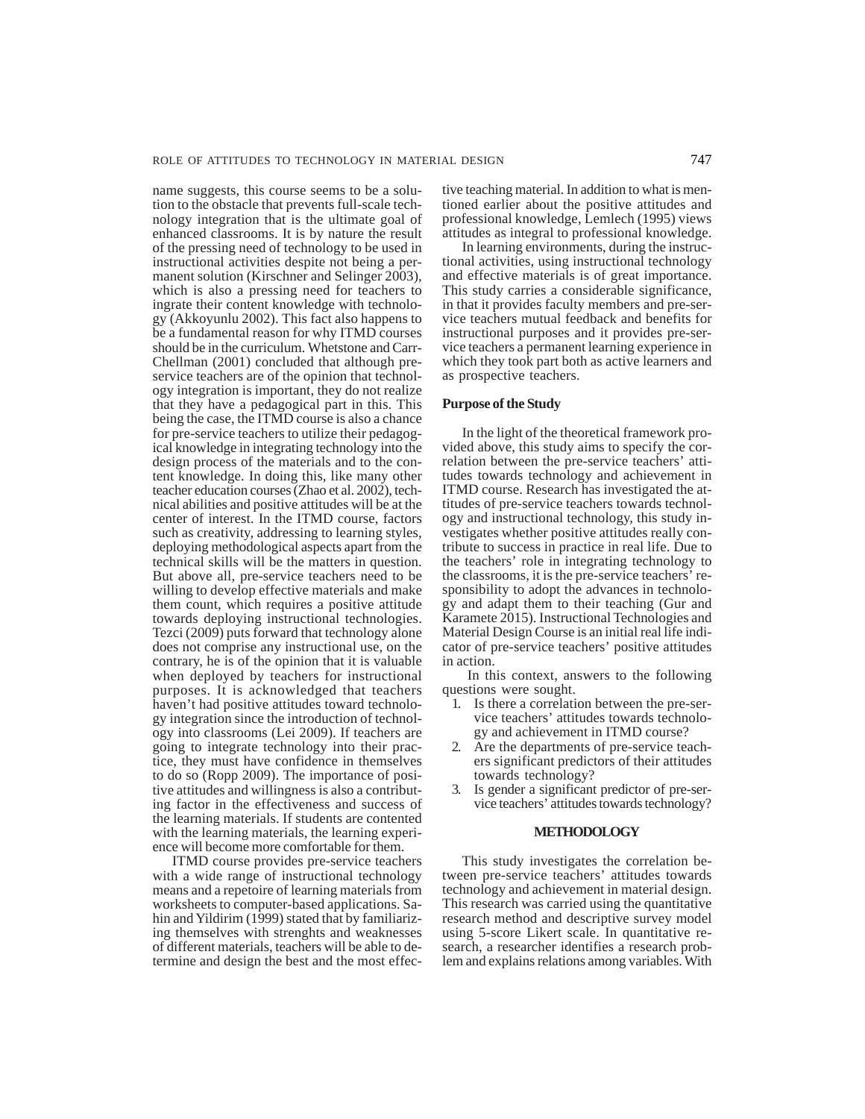name suggests, this course seems to be a solution to the obstacle that prevents full-scale technology integration that is the ultimate goal of enhanced classrooms. It is by nature the result of the pressing need of technology to be used in instructional activities despite not being a permanent solution (Kirschner and Selinger 2003), which is also a pressing need for teachers to ingrate their content knowledge with technology (Akkoyunlu 2002). This fact also happens to be a fundamental reason for why ITMD courses should be in the curriculum. Whetstone and Carr-Chellman (2001) concluded that although preservice teachers are of the opinion that technology integration is important, they do not realize that they have a pedagogical part in this. This being the case, the ITMD course is also a chance for pre-service teachers to utilize their pedagogical knowledge in integrating technology into the design process of the materials and to the content knowledge. In doing this, like many other teacher education courses (Zhao et al. 2002), technical abilities and positive attitudes will be at the center of interest. In the ITMD course, factors such as creativity, addressing to learning styles, deploying methodological aspects apart from the technical skills will be the matters in question. But above all, pre-service teachers need to be willing to develop effective materials and make them count, which requires a positive attitude towards deploying instructional technologies. Tezci (2009) puts forward that technology alone does not comprise any instructional use, on the contrary, he is of the opinion that it is valuable when deployed by teachers for instructional purposes. It is acknowledged that teachers haven't had positive attitudes toward technology integration since the introduction of technology into classrooms (Lei 2009). If teachers are going to integrate technology into their practice, they must have confidence in themselves to do so (Ropp 2009). The importance of positive attitudes and willingness is also a contributing factor in the effectiveness and success of the learning materials. If students are contented with the learning materials, the learning experience will become more comfortable for them.

ITMD course provides pre-service teachers with a wide range of instructional technology means and a repetoire of learning materials from worksheets to computer-based applications. Sahin and Yildirim (1999) stated that by familiarizing themselves with strenghts and weaknesses of different materials, teachers will be able to determine and design the best and the most effective teaching material. In addition to what is mentioned earlier about the positive attitudes and professional knowledge, Lemlech (1995) views attitudes as integral to professional knowledge.

In learning environments, during the instructional activities, using instructional technology and effective materials is of great importance. This study carries a considerable significance, in that it provides faculty members and pre-service teachers mutual feedback and benefits for instructional purposes and it provides pre-service teachers a permanent learning experience in which they took part both as active learners and as prospective teachers.

#### **Purpose of the Study**

In the light of the theoretical framework provided above, this study aims to specify the correlation between the pre-service teachers' attitudes towards technology and achievement in ITMD course. Research has investigated the attitudes of pre-service teachers towards technology and instructional technology, this study investigates whether positive attitudes really contribute to success in practice in real life. Due to the teachers' role in integrating technology to the classrooms, it is the pre-service teachers' responsibility to adopt the advances in technology and adapt them to their teaching (Gur and Karamete 2015). Instructional Technologies and Material Design Course is an initial real life indicator of pre-service teachers' positive attitudes in action.

 In this context, answers to the following questions were sought.

- 1. Is there a correlation between the pre-service teachers' attitudes towards technology and achievement in ITMD course?
- 2. Are the departments of pre-service teachers significant predictors of their attitudes towards technology?
- 3. Is gender a significant predictor of pre-service teachers' attitudes towards technology?

## **METHODOLOGY**

This study investigates the correlation between pre-service teachers' attitudes towards technology and achievement in material design. This research was carried using the quantitative research method and descriptive survey model using 5-score Likert scale. In quantitative research, a researcher identifies a research problem and explains relations among variables. With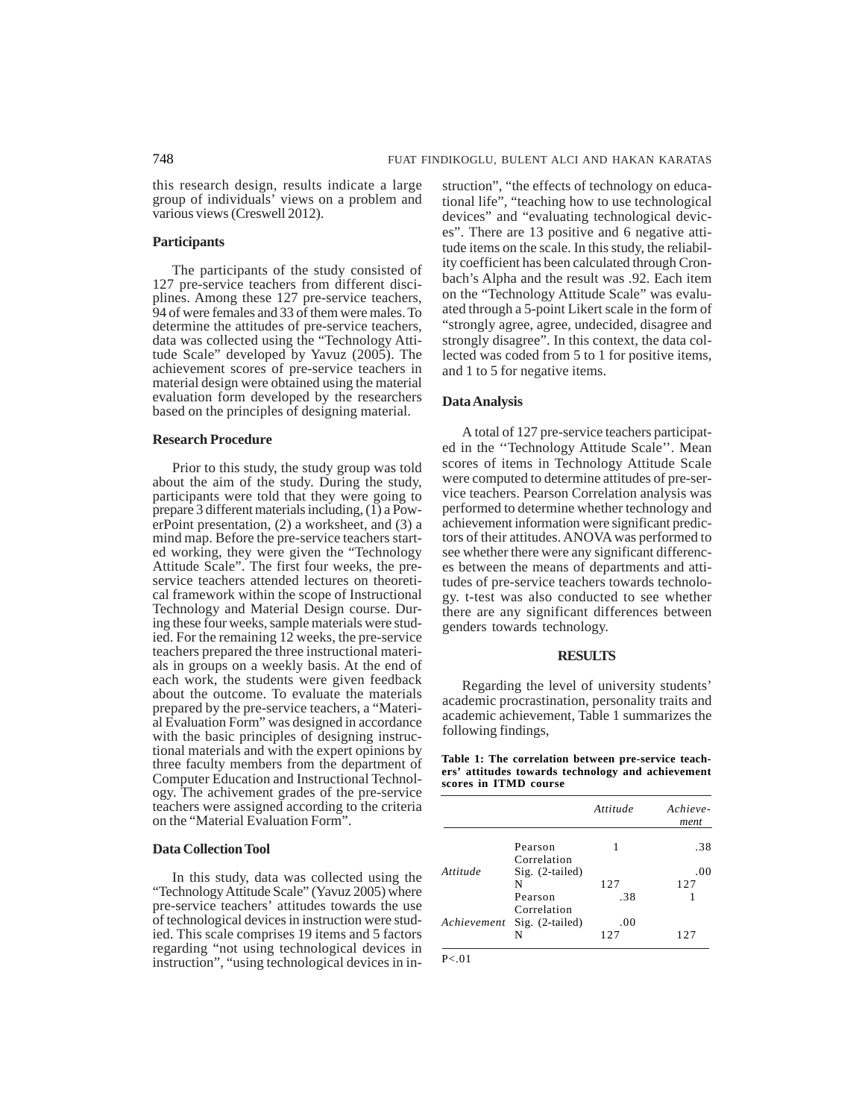this research design, results indicate a large group of individuals' views on a problem and various views (Creswell 2012).

## **Participants**

The participants of the study consisted of 127 pre-service teachers from different disciplines. Among these 127 pre-service teachers, 94 of were females and 33 of them were males. To determine the attitudes of pre-service teachers, data was collected using the "Technology Attitude Scale" developed by Yavuz (2005). The achievement scores of pre-service teachers in material design were obtained using the material evaluation form developed by the researchers based on the principles of designing material.

### **Research Procedure**

Prior to this study, the study group was told about the aim of the study. During the study, participants were told that they were going to prepare 3 different materials including, (1) a PowerPoint presentation, (2) a worksheet, and (3) a mind map. Before the pre-service teachers started working, they were given the "Technology Attitude Scale". The first four weeks, the preservice teachers attended lectures on theoretical framework within the scope of Instructional Technology and Material Design course. During these four weeks, sample materials were studied. For the remaining 12 weeks, the pre-service teachers prepared the three instructional materials in groups on a weekly basis. At the end of each work, the students were given feedback about the outcome. To evaluate the materials prepared by the pre-service teachers, a "Material Evaluation Form" was designed in accordance with the basic principles of designing instructional materials and with the expert opinions by three faculty members from the department of Computer Education and Instructional Technology. The achivement grades of the pre-service teachers were assigned according to the criteria on the "Material Evaluation Form".

#### **Data Collection Tool**

In this study, data was collected using the "Technology Attitude Scale" (Yavuz 2005) where pre-service teachers' attitudes towards the use of technological devices in instruction were studied. This scale comprises 19 items and 5 factors regarding "not using technological devices in instruction", "using technological devices in in-

struction", "the effects of technology on educational life", "teaching how to use technological devices" and "evaluating technological devices". There are 13 positive and 6 negative attitude items on the scale. In this study, the reliability coefficient has been calculated through Cronbach's Alpha and the result was .92. Each item on the "Technology Attitude Scale" was evaluated through a 5-point Likert scale in the form of "strongly agree, agree, undecided, disagree and strongly disagree". In this context, the data collected was coded from 5 to 1 for positive items, and 1 to 5 for negative items.

#### **Data Analysis**

A total of 127 pre-service teachers participated in the ''Technology Attitude Scale''. Mean scores of items in Technology Attitude Scale were computed to determine attitudes of pre-service teachers. Pearson Correlation analysis was performed to determine whether technology and achievement information were significant predictors of their attitudes. ANOVA was performed to see whether there were any significant differences between the means of departments and attitudes of pre-service teachers towards technology. t-test was also conducted to see whether there are any significant differences between genders towards technology.

## **RESULTS**

Regarding the level of university students' academic procrastination, personality traits and academic achievement, Table 1 summarizes the following findings,

#### **Table 1: The correlation between pre-service teachers' attitudes towards technology and achievement scores in ITMD course**

|             |                   | Attitude | Achieve-<br>ment |
|-------------|-------------------|----------|------------------|
|             | Pearson           |          | .38              |
|             | Correlation       |          |                  |
| Attitude    | Sig. (2-tailed)   |          | .00              |
|             | N                 | 127      | 127              |
|             | Pearson           | .38      |                  |
|             | Correlation       |          |                  |
| Achievement | $Sig.$ (2-tailed) | .00      |                  |
|             | N                 | 127      | 12.7             |

P<.01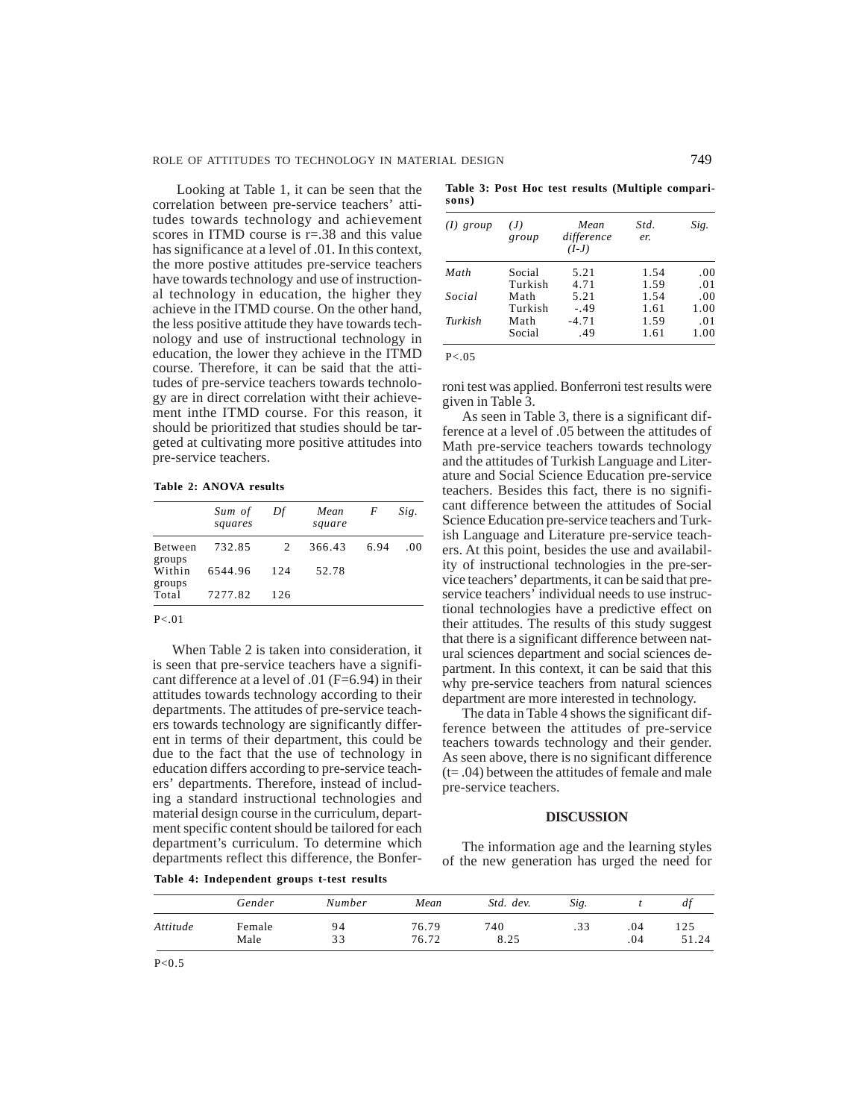Looking at Table 1, it can be seen that the correlation between pre-service teachers' attitudes towards technology and achievement scores in ITMD course is r=.38 and this value has significance at a level of .01. In this context, the more postive attitudes pre-service teachers have towards technology and use of instructional technology in education, the higher they achieve in the ITMD course. On the other hand, the less positive attitude they have towards technology and use of instructional technology in education, the lower they achieve in the ITMD course. Therefore, it can be said that the attitudes of pre-service teachers towards technology are in direct correlation witht their achievement inthe ITMD course. For this reason, it should be prioritized that studies should be targeted at cultivating more positive attitudes into pre-service teachers.

**Table 2: ANOVA results**

|                          | Sum of<br>squares | Df   | Mean<br>square | F    | Sig. |
|--------------------------|-------------------|------|----------------|------|------|
| <b>Between</b><br>groups | 732.85            | 2    | 366.43         | 6.94 | .00  |
| Within<br>groups         | 6544.96           | 12.4 | 52.78          |      |      |
| Total                    | 7277.82           | 126  |                |      |      |

| v. |  |  |
|----|--|--|
|----|--|--|

When Table 2 is taken into consideration, it is seen that pre-service teachers have a significant difference at a level of .01 (F=6.94) in their attitudes towards technology according to their departments. The attitudes of pre-service teachers towards technology are significantly different in terms of their department, this could be due to the fact that the use of technology in education differs according to pre-service teachers' departments. Therefore, instead of including a standard instructional technologies and material design course in the curriculum, department specific content should be tailored for each department's curriculum. To determine which departments reflect this difference, the Bonfer-

**Table 3: Post Hoc test results (Multiple comparisons)**

| $(I)$ group | (J)<br>group | Mean<br>difference<br>$(I-J)$ | Std.<br>er. | Sig. |  |
|-------------|--------------|-------------------------------|-------------|------|--|
| Math        | Social       | 5.21                          | 1.54        | .00  |  |
|             | Turkish      | 4.71                          | 1.59        | .01  |  |
| Social      | Math         | 5.21                          | 1.54        | .00  |  |
|             | Turkish      | $-.49$                        | 1.61        | 1.00 |  |
| Turkish     | Math         | $-4.71$                       | 1.59        | .01  |  |
|             | Social       | .49                           | 1.61        | 1.00 |  |

P<.05

roni test was applied. Bonferroni test results were given in Table 3.

As seen in Table 3, there is a significant difference at a level of .05 between the attitudes of Math pre-service teachers towards technology and the attitudes of Turkish Language and Literature and Social Science Education pre-service teachers. Besides this fact, there is no significant difference between the attitudes of Social Science Education pre-service teachers and Turkish Language and Literature pre-service teachers. At this point, besides the use and availability of instructional technologies in the pre-service teachers' departments, it can be said that preservice teachers' individual needs to use instructional technologies have a predictive effect on their attitudes. The results of this study suggest that there is a significant difference between natural sciences department and social sciences department. In this context, it can be said that this why pre-service teachers from natural sciences department are more interested in technology.

The data in Table 4 shows the significant difference between the attitudes of pre-service teachers towards technology and their gender. As seen above, there is no significant difference  $(t=.04)$  between the attitudes of female and male pre-service teachers.

## **DISCUSSION**

The information age and the learning styles of the new generation has urged the need for

|          | Gender         | Number              | Mean           | Std. dev.   | Sig. |            | aj           |
|----------|----------------|---------------------|----------------|-------------|------|------------|--------------|
| Attitude | Female<br>Male | 94<br>$\mathcal{L}$ | 76.79<br>76.72 | 740<br>8.25 | .33  | .04<br>.04 | 125<br>51.24 |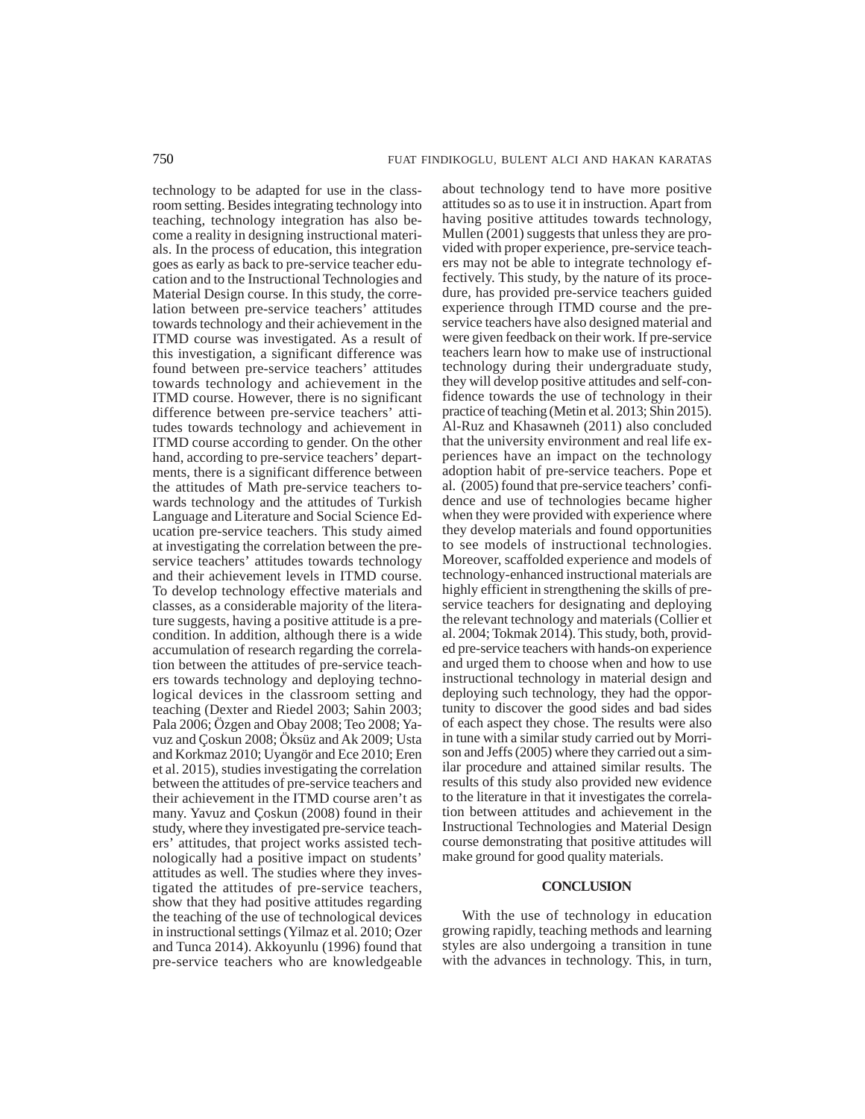technology to be adapted for use in the classroom setting. Besides integrating technology into teaching, technology integration has also become a reality in designing instructional materials. In the process of education, this integration goes as early as back to pre-service teacher education and to the Instructional Technologies and Material Design course. In this study, the correlation between pre-service teachers' attitudes towards technology and their achievement in the ITMD course was investigated. As a result of this investigation, a significant difference was found between pre-service teachers' attitudes towards technology and achievement in the ITMD course. However, there is no significant difference between pre-service teachers' attitudes towards technology and achievement in ITMD course according to gender. On the other hand, according to pre-service teachers' departments, there is a significant difference between the attitudes of Math pre-service teachers towards technology and the attitudes of Turkish Language and Literature and Social Science Education pre-service teachers. This study aimed at investigating the correlation between the preservice teachers' attitudes towards technology and their achievement levels in ITMD course. To develop technology effective materials and classes, as a considerable majority of the literature suggests, having a positive attitude is a precondition. In addition, although there is a wide accumulation of research regarding the correlation between the attitudes of pre-service teachers towards technology and deploying technological devices in the classroom setting and teaching (Dexter and Riedel 2003; Sahin 2003; Pala 2006; Özgen and Obay 2008; Teo 2008; Yavuz and Çoskun 2008; Öksüz and Ak 2009; Usta and Korkmaz 2010; Uyangör and Ece 2010; Eren et al. 2015), studies investigating the correlation between the attitudes of pre-service teachers and their achievement in the ITMD course aren't as many. Yavuz and Çoskun (2008) found in their study, where they investigated pre-service teachers' attitudes, that project works assisted technologically had a positive impact on students' attitudes as well. The studies where they investigated the attitudes of pre-service teachers, show that they had positive attitudes regarding the teaching of the use of technological devices in instructional settings (Yilmaz et al. 2010; Ozer and Tunca 2014). Akkoyunlu (1996) found that pre-service teachers who are knowledgeable

about technology tend to have more positive attitudes so as to use it in instruction. Apart from having positive attitudes towards technology, Mullen (2001) suggests that unless they are provided with proper experience, pre-service teachers may not be able to integrate technology effectively. This study, by the nature of its procedure, has provided pre-service teachers guided experience through ITMD course and the preservice teachers have also designed material and were given feedback on their work. If pre-service teachers learn how to make use of instructional technology during their undergraduate study, they will develop positive attitudes and self-confidence towards the use of technology in their practice of teaching (Metin et al. 2013; Shin 2015). Al-Ruz and Khasawneh (2011) also concluded that the university environment and real life experiences have an impact on the technology adoption habit of pre-service teachers. Pope et al. (2005) found that pre-service teachers' confidence and use of technologies became higher when they were provided with experience where they develop materials and found opportunities to see models of instructional technologies. Moreover, scaffolded experience and models of technology-enhanced instructional materials are highly efficient in strengthening the skills of preservice teachers for designating and deploying the relevant technology and materials (Collier et al. 2004; Tokmak 2014). This study, both, provided pre-service teachers with hands-on experience and urged them to choose when and how to use instructional technology in material design and deploying such technology, they had the opportunity to discover the good sides and bad sides of each aspect they chose. The results were also in tune with a similar study carried out by Morrison and Jeffs (2005) where they carried out a similar procedure and attained similar results. The results of this study also provided new evidence to the literature in that it investigates the correlation between attitudes and achievement in the Instructional Technologies and Material Design course demonstrating that positive attitudes will make ground for good quality materials.

# **CONCLUSION**

With the use of technology in education growing rapidly, teaching methods and learning styles are also undergoing a transition in tune with the advances in technology. This, in turn,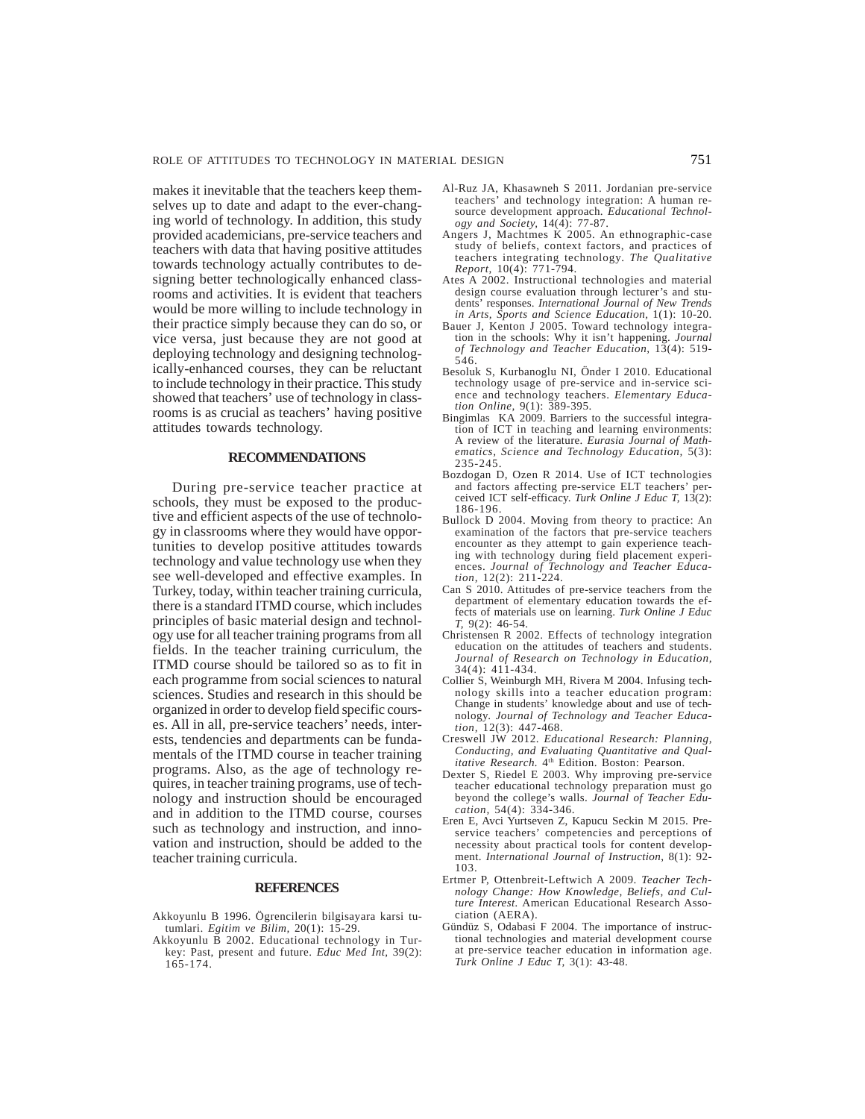makes it inevitable that the teachers keep themselves up to date and adapt to the ever-changing world of technology. In addition, this study provided academicians, pre-service teachers and teachers with data that having positive attitudes towards technology actually contributes to designing better technologically enhanced classrooms and activities. It is evident that teachers would be more willing to include technology in their practice simply because they can do so, or vice versa, just because they are not good at deploying technology and designing technologically-enhanced courses, they can be reluctant to include technology in their practice. This study showed that teachers' use of technology in classrooms is as crucial as teachers' having positive attitudes towards technology.

## **RECOMMENDATIONS**

During pre-service teacher practice at schools, they must be exposed to the productive and efficient aspects of the use of technology in classrooms where they would have opportunities to develop positive attitudes towards technology and value technology use when they see well-developed and effective examples. In Turkey, today, within teacher training curricula, there is a standard ITMD course, which includes principles of basic material design and technology use for all teacher training programs from all fields. In the teacher training curriculum, the ITMD course should be tailored so as to fit in each programme from social sciences to natural sciences. Studies and research in this should be organized in order to develop field specific courses. All in all, pre-service teachers' needs, interests, tendencies and departments can be fundamentals of the ITMD course in teacher training programs. Also, as the age of technology requires, in teacher training programs, use of technology and instruction should be encouraged and in addition to the ITMD course, courses such as technology and instruction, and innovation and instruction, should be added to the teacher training curricula.

## **REFERENCES**

- Akkoyunlu B 1996. Ögrencilerin bilgisayara karsi tutumlari. *Egitim ve Bilim,* 20(1): 15-29.
- Akkoyunlu B 2002. Educational technology in Turkey: Past, present and future. *Educ Med Int,* 39(2): 165-174.
- Al-Ruz JA, Khasawneh S 2011. Jordanian pre-service teachers' and technology integration: A human resource development approach. *Educational Technology and Society,* 14(4): 77-87.
- Angers J, Machtmes K 2005. An ethnographic-case study of beliefs, context factors, and practices of teachers integrating technology. *The Qualitative Report,* 10(4): 771-794.
- Ates A 2002. Instructional technologies and material design course evaluation through lecturer's and students' responses. *International Journal of New Trends in Arts, Sports and Science Education,* 1(1): 10-20.
- Bauer J, Kenton J 2005. Toward technology integration in the schools: Why it isn't happening. *Journal of Technology and Teacher Education,* 13(4): 519- 546.
- Besoluk S, Kurbanoglu NI, Önder I 2010. Educational technology usage of pre-service and in-service science and technology teachers. *Elementary Education Online,* 9(1): 389-395.
- Bingimlas KA 2009. Barriers to the successful integration of ICT in teaching and learning environments: A review of the literature. *Eurasia Journal of Mathematics, Science and Technology Education,* 5(3): 235-245.
- Bozdogan D, Ozen R 2014. Use of ICT technologies and factors affecting pre-service ELT teachers' perceived ICT self-efficacy. *Turk Online J Educ T,* 13(2): 186-196.
- Bullock D 2004. Moving from theory to practice: An examination of the factors that pre-service teachers encounter as they attempt to gain experience teaching with technology during field placement experiences. *Journal of Technology and Teacher Education,* 12(2): 211-224.
- Can S 2010. Attitudes of pre-service teachers from the department of elementary education towards the effects of materials use on learning. *Turk Online J Educ T,* 9(2): 46-54.
- Christensen R 2002. Effects of technology integration education on the attitudes of teachers and students. *Journal of Research on Technology in Education,* 34(4): 411-434.
- Collier S, Weinburgh MH, Rivera M 2004. Infusing technology skills into a teacher education program: Change in students' knowledge about and use of technology. *Journal of Technology and Teacher Education,* 12(3): 447-468.
- Creswell JW 2012. *Educational Research: Planning, Conducting, and Evaluating Quantitative and Qualitative Research.* 4<sup>th</sup> Edition. Boston: Pearson.
- Dexter S, Riedel E 2003. Why improving pre-service teacher educational technology preparation must go beyond the college's walls. *Journal of Teacher Education,* 54(4): 334-346.
- Eren E, Avci Yurtseven Z, Kapucu Seckin M 2015. Preservice teachers' competencies and perceptions of necessity about practical tools for content development. *International Journal of Instruction*, 8(1): 92- 103.
- Ertmer P, Ottenbreit-Leftwich A 2009. *Teacher Technology Change: How Knowledge, Beliefs, and Culture Interest.* American Educational Research Association (AERA).
- Gündüz S, Odabasi F 2004. The importance of instructional technologies and material development course at pre-service teacher education in information age. *Turk Online J Educ T,* 3(1): 43-48.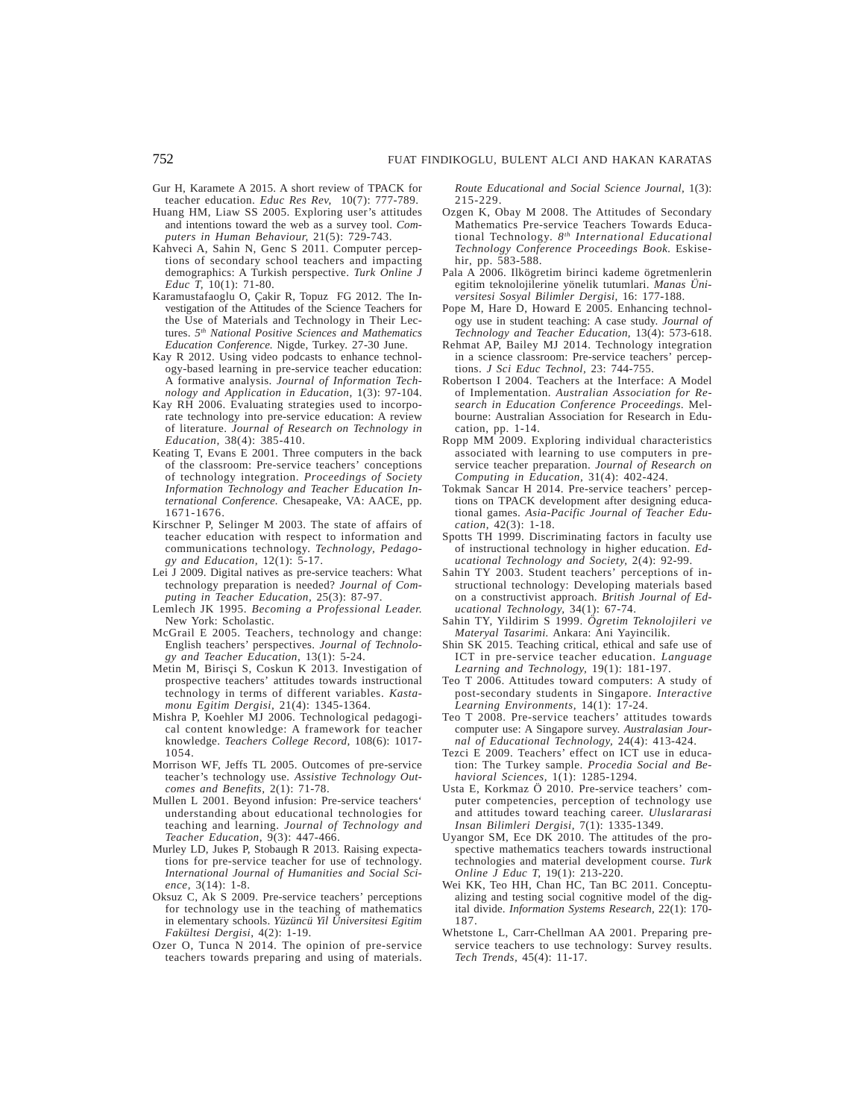- Gur H, Karamete A 2015. A short review of TPACK for teacher education. *Educ Res Rev,* 10(7): 777-789.
- Huang HM, Liaw SS 2005. Exploring user's attitudes and intentions toward the web as a survey tool. *Computers in Human Behaviour,* 21(5): 729-743.
- Kahveci A, Sahin N, Genc S 2011. Computer perceptions of secondary school teachers and impacting demographics: A Turkish perspective. *Turk Online J Educ T,* 10(1): 71-80.
- Karamustafaoglu O, Çakir R, Topuz FG 2012. The Investigation of the Attitudes of the Science Teachers for the Use of Materials and Technology in Their Lectures. *5th National Positive Sciences and Mathematics Education Conference.* Nigde, Turkey. 27-30 June.
- Kay R 2012. Using video podcasts to enhance technology-based learning in pre-service teacher education: A formative analysis. *Journal of Information Technology and Application in Education,* 1(3): 97-104.
- Kay RH 2006. Evaluating strategies used to incorporate technology into pre-service education: A review of literature. *Journal of Research on Technology in Education,* 38(4): 385-410.
- Keating T, Evans E 2001. Three computers in the back of the classroom: Pre-service teachers' conceptions of technology integration. *Proceedings of Society Information Technology and Teacher Education International Conference.* Chesapeake, VA: AACE, pp. 1671-1676.
- Kirschner P, Selinger M 2003. The state of affairs of teacher education with respect to information and communications technology. *Technology, Pedagogy and Education,* 12(1): 5-17.
- Lei J 2009. Digital natives as pre-service teachers: What technology preparation is needed? *Journal of Computing in Teacher Education,* 25(3): 87-97.
- Lemlech JK 1995. *Becoming a Professional Leader.* New York: Scholastic.
- McGrail E 2005. Teachers, technology and change: English teachers' perspectives. *Journal of Technology and Teacher Education,* 13(1): 5-24.
- Metin M, Birisçi S, Coskun K 2013. Investigation of prospective teachers' attitudes towards instructional technology in terms of different variables. *Kastamonu Egitim Dergisi,* 21(4): 1345-1364.
- Mishra P, Koehler MJ 2006. Technological pedagogical content knowledge: A framework for teacher knowledge. *Teachers College Record,* 108(6): 1017- 1054.
- Morrison WF, Jeffs TL 2005. Outcomes of pre-service teacher's technology use. *Assistive Technology Outcomes and Benefits,* 2(1): 71-78.
- Mullen L 2001. Beyond infusion: Pre-service teachers' understanding about educational technologies for teaching and learning. *Journal of Technology and Teacher Education,* 9(3): 447-466.
- Murley LD, Jukes P, Stobaugh R 2013. Raising expectations for pre-service teacher for use of technology. *International Journal of Humanities and Social Science,* 3(14): 1-8.
- Oksuz C, Ak S 2009. Pre-service teachers' perceptions for technology use in the teaching of mathematics in elementary schools. *Yüzüncü Yil Üniversitesi Egitim Fakültesi Dergisi,* 4(2): 1-19.
- Ozer O, Tunca N 2014. The opinion of pre-service teachers towards preparing and using of materials.

*Route Educational and Social Science Journal,* 1(3): 215-229.

- Ozgen K, Obay M 2008. The Attitudes of Secondary Mathematics Pre-service Teachers Towards Educational Technology. *8th International Educational Technology Conference Proceedings Book.* Eskisehir, pp. 583-588.
- Pala A 2006. Ilkögretim birinci kademe ögretmenlerin egitim teknolojilerine yönelik tutumlari. *Manas Üniversitesi Sosyal Bilimler Dergisi,* 16: 177-188.
- Pope M, Hare D, Howard E 2005. Enhancing technology use in student teaching: A case study. *Journal of Technology and Teacher Education,* 13(4): 573-618.
- Rehmat AP, Bailey MJ 2014. Technology integration in a science classroom: Pre-service teachers' perceptions. *J Sci Educ Technol,* 23: 744-755.
- Robertson I 2004. Teachers at the Interface: A Model of Implementation. *Australian Association for Research in Education Conference Proceedings.* Melbourne: Australian Association for Research in Education, pp. 1-14.
- Ropp MM 2009. Exploring individual characteristics associated with learning to use computers in preservice teacher preparation. *Journal of Research on Computing in Education,* 31(4): 402-424.
- Tokmak Sancar H 2014. Pre-service teachers' perceptions on TPACK development after designing educational games. *Asia-Pacific Journal of Teacher Education*, 42(3): 1-18.
- Spotts TH 1999. Discriminating factors in faculty use of instructional technology in higher education. *Educational Technology and Society,* 2(4): 92-99.
- Sahin TY 2003. Student teachers' perceptions of instructional technology: Developing materials based on a constructivist approach. *British Journal of Educational Technology,* 34(1): 67-74.
- Sahin TY, Yildirim S 1999. *Ögretim Teknolojileri ve Materyal Tasarimi.* Ankara: Ani Yayincilik.
- Shin SK 2015. Teaching critical, ethical and safe use of ICT in pre-service teacher education. *Language Learning and Technology,* 19(1): 181-197.
- Teo T 2006. Attitudes toward computers: A study of post-secondary students in Singapore. *Interactive Learning Environments,* 14(1): 17-24.
- Teo T 2008. Pre-service teachers' attitudes towards computer use: A Singapore survey. *Australasian Journal of Educational Technology,* 24(4): 413-424.
- Tezci E 2009. Teachers' effect on ICT use in education: The Turkey sample. *Procedia Social and Behavioral Sciences,* 1(1): 1285-1294.
- Usta E, Korkmaz Ö 2010. Pre-service teachers' computer competencies, perception of technology use and attitudes toward teaching career. *Uluslararasi Insan Bilimleri Dergisi,* 7(1): 1335-1349.
- Uyangor SM, Ece DK 2010. The attitudes of the prospective mathematics teachers towards instructional technologies and material development course. *Turk Online J Educ T,* 19(1): 213-220.
- Wei KK, Teo HH, Chan HC, Tan BC 2011. Conceptualizing and testing social cognitive model of the digital divide. *Information Systems Research,* 22(1): 170- 187.
- Whetstone L, Carr-Chellman AA 2001. Preparing preservice teachers to use technology: Survey results. *Tech Trends,* 45(4): 11-17.